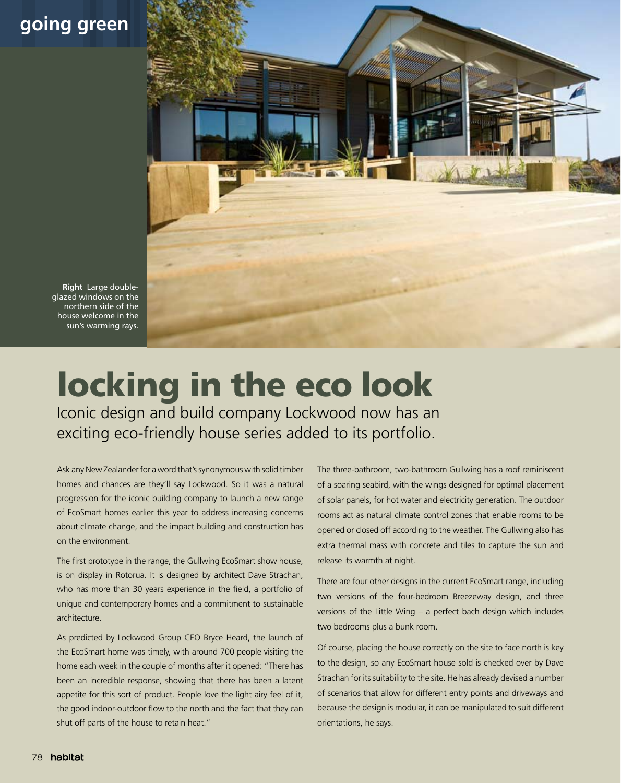## **going green**



**Right** Large doubleglazed windows on the northern side of the house welcome in the sun's warming rays.

## locking in the eco look

Iconic design and build company Lockwood now has an exciting eco-friendly house series added to its portfolio.

Ask any New Zealander for a word that's synonymous with solid timber homes and chances are they'll say Lockwood. So it was a natural progression for the iconic building company to launch a new range of EcoSmart homes earlier this year to address increasing concerns about climate change, and the impact building and construction has on the environment.

The first prototype in the range, the Gullwing EcoSmart show house, is on display in Rotorua. It is designed by architect Dave Strachan, who has more than 30 years experience in the field, a portfolio of unique and contemporary homes and a commitment to sustainable architecture.

As predicted by Lockwood Group CEO Bryce Heard, the launch of the EcoSmart home was timely, with around 700 people visiting the home each week in the couple of months after it opened: "There has been an incredible response, showing that there has been a latent appetite for this sort of product. People love the light airy feel of it, the good indoor-outdoor flow to the north and the fact that they can shut off parts of the house to retain heat."

The three-bathroom, two-bathroom Gullwing has a roof reminiscent of a soaring seabird, with the wings designed for optimal placement of solar panels, for hot water and electricity generation. The outdoor rooms act as natural climate control zones that enable rooms to be opened or closed off according to the weather. The Gullwing also has extra thermal mass with concrete and tiles to capture the sun and release its warmth at night.

There are four other designs in the current EcoSmart range, including two versions of the four-bedroom Breezeway design, and three versions of the Little Wing – a perfect bach design which includes two bedrooms plus a bunk room.

Of course, placing the house correctly on the site to face north is key to the design, so any EcoSmart house sold is checked over by Dave Strachan for its suitability to the site. He has already devised a number of scenarios that allow for different entry points and driveways and because the design is modular, it can be manipulated to suit different orientations, he says.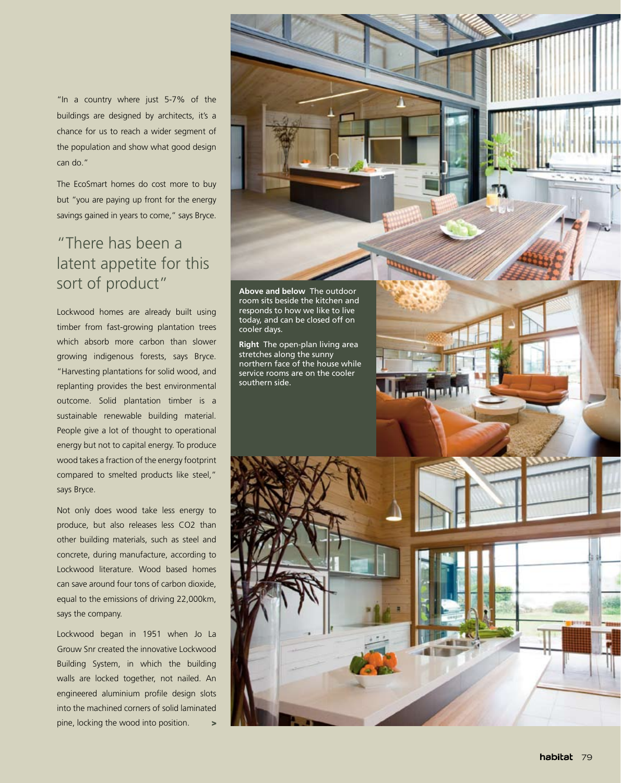"In a country where just 5-7% of the buildings are designed by architects, it's a chance for us to reach a wider segment of the population and show what good design can do."

The EcoSmart homes do cost more to buy but "you are paying up front for the energy savings gained in years to come," says Bryce.

## "There has been a latent appetite for this **SORT OF PRODUCT" Above and below** The outdoor

Lockwood homes are already built using timber from fast-growing plantation trees which absorb more carbon than slower growing indigenous forests, says Bryce. "Harvesting plantations for solid wood, and replanting provides the best environmental outcome. Solid plantation timber is a sustainable renewable building material. People give a lot of thought to operational energy but not to capital energy. To produce wood takes a fraction of the energy footprint compared to smelted products like steel," says Bryce.

Not only does wood take less energy to produce, but also releases less CO2 than other building materials, such as steel and concrete, during manufacture, according to Lockwood literature. Wood based homes can save around four tons of carbon dioxide, equal to the emissions of driving 22,000km, says the company.

Lockwood began in 1951 when Jo La Grouw Snr created the innovative Lockwood Building System, in which the building walls are locked together, not nailed. An engineered aluminium profile design slots into the machined corners of solid laminated pine, locking the wood into position. >



**The Court Property** 

today, and can be closed off on cooler days.

**Right** The open-plan living area stretches along the sunny northern face of the house while service rooms are on the cooler southern side.